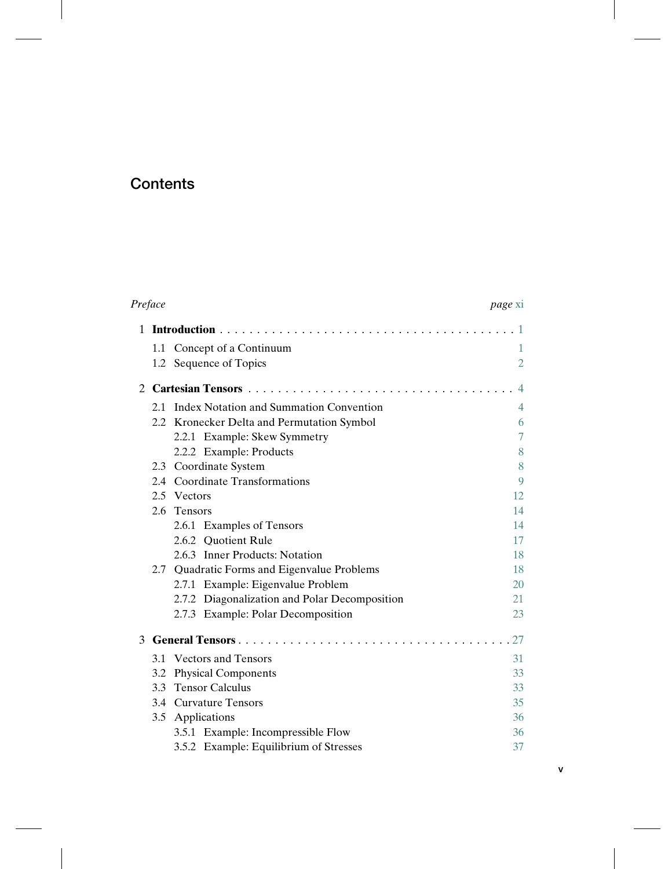## **Contents**

| Preface |     |                                               | page xi        |
|---------|-----|-----------------------------------------------|----------------|
|         |     |                                               |                |
|         | 1.1 | Concept of a Continuum                        | 1              |
|         |     | 1.2 Sequence of Topics                        | $\overline{2}$ |
| 2       |     |                                               |                |
|         |     | 2.1 Index Notation and Summation Convention   | $\overline{4}$ |
|         |     | 2.2 Kronecker Delta and Permutation Symbol    | 6              |
|         |     | 2.2.1 Example: Skew Symmetry                  | $\overline{7}$ |
|         |     | 2.2.2 Example: Products                       | 8              |
|         | 2.3 | Coordinate System                             | 8              |
|         | 2.4 | <b>Coordinate Transformations</b>             | 9              |
|         | 2.5 | Vectors                                       | 12             |
|         | 2.6 | <b>Tensors</b>                                | 14             |
|         |     | 2.6.1 Examples of Tensors                     | 14             |
|         |     | 2.6.2 Ouotient Rule                           | 17             |
|         |     | 2.6.3 Inner Products: Notation                | 18             |
|         | 2.7 | Quadratic Forms and Eigenvalue Problems       | 18             |
|         |     | 2.7.1 Example: Eigenvalue Problem             | 20             |
|         |     | 2.7.2 Diagonalization and Polar Decomposition | 21             |
|         |     | 2.7.3 Example: Polar Decomposition            | 23             |
|         |     | 3 General Tensors                             | 27             |
|         | 3.1 | <b>Vectors and Tensors</b>                    | 31             |
|         | 3.2 | <b>Physical Components</b>                    | 33             |
|         | 3.3 | <b>Tensor Calculus</b>                        | 33             |
|         | 3.4 | <b>Curvature Tensors</b>                      | 35             |
|         | 3.5 | Applications                                  | 36             |
|         |     | 3.5.1 Example: Incompressible Flow            | 36             |
|         |     | 3.5.2 Example: Equilibrium of Stresses        | 37             |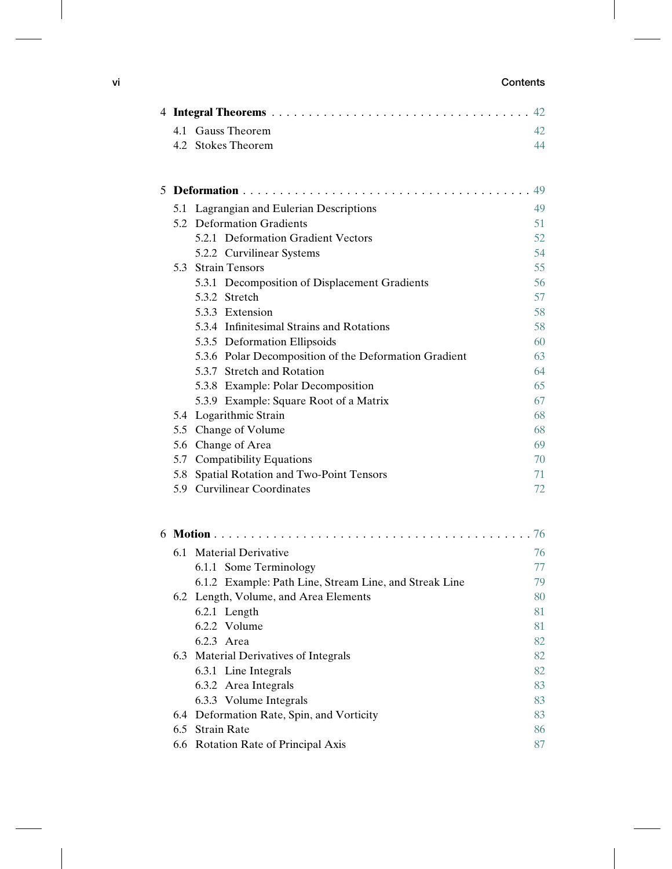## **vi Contents**

| 4.1 Gauss Theorem                                     |    |  |
|-------------------------------------------------------|----|--|
|                                                       | 42 |  |
| 4.2 Stokes Theorem                                    | 44 |  |
|                                                       | 49 |  |
| 5.1 Lagrangian and Eulerian Descriptions              | 49 |  |
| 5.2 Deformation Gradients                             | 51 |  |
| 5.2.1 Deformation Gradient Vectors                    | 52 |  |
| 5.2.2 Curvilinear Systems                             | 54 |  |
| 5.3 Strain Tensors                                    | 55 |  |
| 5.3.1 Decomposition of Displacement Gradients         | 56 |  |
| 5.3.2 Stretch                                         | 57 |  |
| 5.3.3 Extension                                       | 58 |  |
| 5.3.4 Infinitesimal Strains and Rotations             | 58 |  |
| 5.3.5 Deformation Ellipsoids                          | 60 |  |
| 5.3.6 Polar Decomposition of the Deformation Gradient | 63 |  |
| 5.3.7 Stretch and Rotation                            | 64 |  |
| 5.3.8 Example: Polar Decomposition                    | 65 |  |
| 5.3.9 Example: Square Root of a Matrix                | 67 |  |
| 5.4 Logarithmic Strain                                | 68 |  |
| 5.5 Change of Volume                                  |    |  |
| 5.6 Change of Area                                    |    |  |
| 5.7 Compatibility Equations                           | 70 |  |
| 5.8 Spatial Rotation and Two-Point Tensors            | 71 |  |
| 5.9 Curvilinear Coordinates                           | 72 |  |

|  | 6.1 Material Derivative                                | 76 |  |  |
|--|--------------------------------------------------------|----|--|--|
|  | 6.1.1 Some Terminology                                 | 77 |  |  |
|  | 6.1.2 Example: Path Line, Stream Line, and Streak Line | 79 |  |  |
|  | 6.2 Length, Volume, and Area Elements                  | 80 |  |  |
|  | 6.2.1 Length                                           | 81 |  |  |
|  | 6.2.2 Volume                                           | 81 |  |  |
|  | $6.2.3$ Area                                           | 82 |  |  |
|  | 6.3 Material Derivatives of Integrals                  | 82 |  |  |
|  | 6.3.1 Line Integrals                                   | 82 |  |  |
|  | 6.3.2 Area Integrals                                   | 83 |  |  |
|  | 6.3.3 Volume Integrals                                 | 83 |  |  |
|  | 6.4 Deformation Rate, Spin, and Vorticity              | 83 |  |  |
|  | 6.5 Strain Rate                                        |    |  |  |
|  | 6.6 Rotation Rate of Principal Axis                    | 87 |  |  |
|  |                                                        |    |  |  |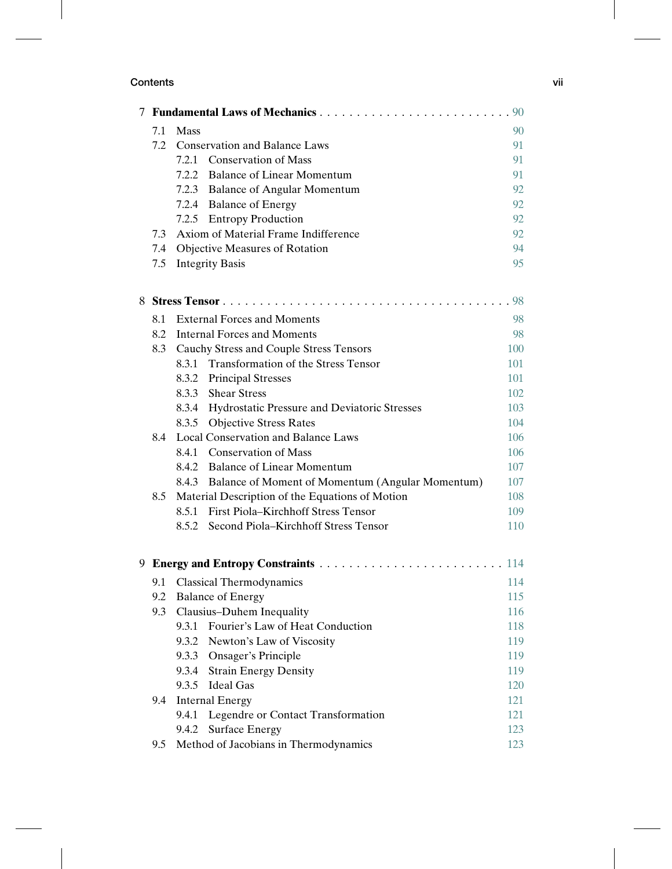| 7.1                                         | Mass                                 |                                                        | 90  |  |  |
|---------------------------------------------|--------------------------------------|--------------------------------------------------------|-----|--|--|
| 7.2                                         | <b>Conservation and Balance Laws</b> |                                                        |     |  |  |
|                                             | 7.2.1                                | <b>Conservation of Mass</b>                            | 91  |  |  |
|                                             |                                      | 7.2.2 Balance of Linear Momentum                       | 91  |  |  |
|                                             |                                      | 7.2.3 Balance of Angular Momentum                      | 92  |  |  |
|                                             |                                      | 7.2.4 Balance of Energy                                | 92  |  |  |
|                                             |                                      | 7.2.5 Entropy Production                               | 92  |  |  |
| Axiom of Material Frame Indifference<br>7.3 |                                      |                                                        |     |  |  |
|                                             |                                      | 7.4 Objective Measures of Rotation                     | 94  |  |  |
|                                             |                                      | 7.5 Integrity Basis                                    | 95  |  |  |
|                                             |                                      |                                                        | 98  |  |  |
| 8.1                                         |                                      | <b>External Forces and Moments</b>                     | 98  |  |  |
|                                             |                                      | 8.2 Internal Forces and Moments                        | 98  |  |  |
|                                             |                                      | 8.3 Cauchy Stress and Couple Stress Tensors            | 100 |  |  |
|                                             |                                      | 8.3.1 Transformation of the Stress Tensor              | 101 |  |  |
|                                             |                                      | 8.3.2 Principal Stresses                               | 101 |  |  |
|                                             |                                      | 8.3.3 Shear Stress                                     | 102 |  |  |
|                                             |                                      | 8.3.4 Hydrostatic Pressure and Deviatoric Stresses     | 103 |  |  |
|                                             |                                      | 8.3.5 Objective Stress Rates                           | 104 |  |  |
| 8.4                                         |                                      | Local Conservation and Balance Laws                    | 106 |  |  |
|                                             |                                      | 8.4.1 Conservation of Mass                             | 106 |  |  |
|                                             |                                      | 8.4.2 Balance of Linear Momentum                       | 107 |  |  |
|                                             |                                      | 8.4.3 Balance of Moment of Momentum (Angular Momentum) | 107 |  |  |
| 8.5                                         |                                      | Material Description of the Equations of Motion        | 108 |  |  |
|                                             | 8.5.1                                | First Piola-Kirchhoff Stress Tensor                    | 109 |  |  |
|                                             |                                      | 8.5.2 Second Piola–Kirchhoff Stress Tensor             | 110 |  |  |
|                                             |                                      |                                                        | 114 |  |  |
| 9.1                                         |                                      | <b>Classical Thermodynamics</b>                        | 114 |  |  |
|                                             | 9.2 Balance of Energy                |                                                        |     |  |  |
|                                             |                                      | 9.3 Clausius–Duhem Inequality                          | 116 |  |  |
|                                             |                                      | 9.3.1 Fourier's Law of Heat Conduction                 | 118 |  |  |
|                                             | 9.3.2                                | Newton's Law of Viscosity                              | 119 |  |  |
|                                             |                                      | 9.3.3 Onsager's Principle                              | 119 |  |  |
|                                             | 9.3.4                                | <b>Strain Energy Density</b>                           | 119 |  |  |
|                                             |                                      | 9.3.5 Ideal Gas                                        | 120 |  |  |
| 9.4                                         |                                      | <b>Internal Energy</b>                                 | 121 |  |  |
|                                             | 9.4.1                                | Legendre or Contact Transformation                     | 121 |  |  |
|                                             |                                      | 9.4.2 Surface Energy                                   | 123 |  |  |
| 9.5                                         |                                      | Method of Jacobians in Thermodynamics                  | 123 |  |  |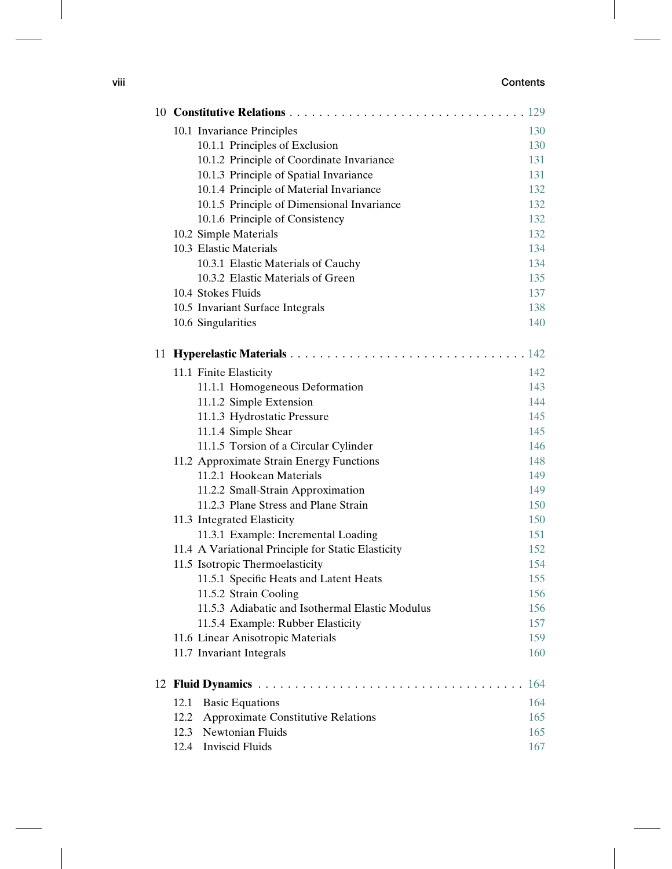## **viii Contents**

| 10.1 Invariance Principles                         | 130 |
|----------------------------------------------------|-----|
| 10.1.1 Principles of Exclusion                     | 130 |
| 10.1.2 Principle of Coordinate Invariance          | 131 |
| 10.1.3 Principle of Spatial Invariance             | 131 |
| 10.1.4 Principle of Material Invariance            | 132 |
| 10.1.5 Principle of Dimensional Invariance         | 132 |
| 10.1.6 Principle of Consistency                    | 132 |
| 10.2 Simple Materials                              | 132 |
| 10.3 Elastic Materials                             | 134 |
| 10.3.1 Elastic Materials of Cauchy                 | 134 |
| 10.3.2 Elastic Materials of Green                  | 135 |
| 10.4 Stokes Fluids                                 | 137 |
| 10.5 Invariant Surface Integrals                   | 138 |
| 10.6 Singularities                                 | 140 |
|                                                    |     |
| 11.1 Finite Elasticity                             | 142 |
| 11.1.1 Homogeneous Deformation                     | 143 |
| 11.1.2 Simple Extension                            | 144 |
| 11.1.3 Hydrostatic Pressure                        | 145 |
| 11.1.4 Simple Shear                                | 145 |
| 11.1.5 Torsion of a Circular Cylinder              | 146 |
| 11.2 Approximate Strain Energy Functions           | 148 |
| 11.2.1 Hookean Materials                           | 149 |
| 11.2.2 Small-Strain Approximation                  | 149 |
| 11.2.3 Plane Stress and Plane Strain               | 150 |
| 11.3 Integrated Elasticity                         | 150 |
| 11.3.1 Example: Incremental Loading                | 151 |
| 11.4 A Variational Principle for Static Elasticity | 152 |
| 11.5 Isotropic Thermoelasticity                    | 154 |
| 11.5.1 Specific Heats and Latent Heats             | 155 |
| 11.5.2 Strain Cooling                              | 156 |
| 11.5.3 Adiabatic and Isothermal Elastic Modulus    | 156 |
| 11.5.4 Example: Rubber Elasticity                  | 157 |
| 11.6 Linear Anisotropic Materials                  | 159 |
| 11.7 Invariant Integrals                           | 160 |
| 12 Fluid Dynamics                                  | 164 |
| 12.1<br><b>Basic Equations</b>                     | 164 |
| 12.2<br><b>Approximate Constitutive Relations</b>  | 165 |
| Newtonian Fluids<br>12.3                           | 165 |
| <b>Inviscid Fluids</b><br>12.4                     | 167 |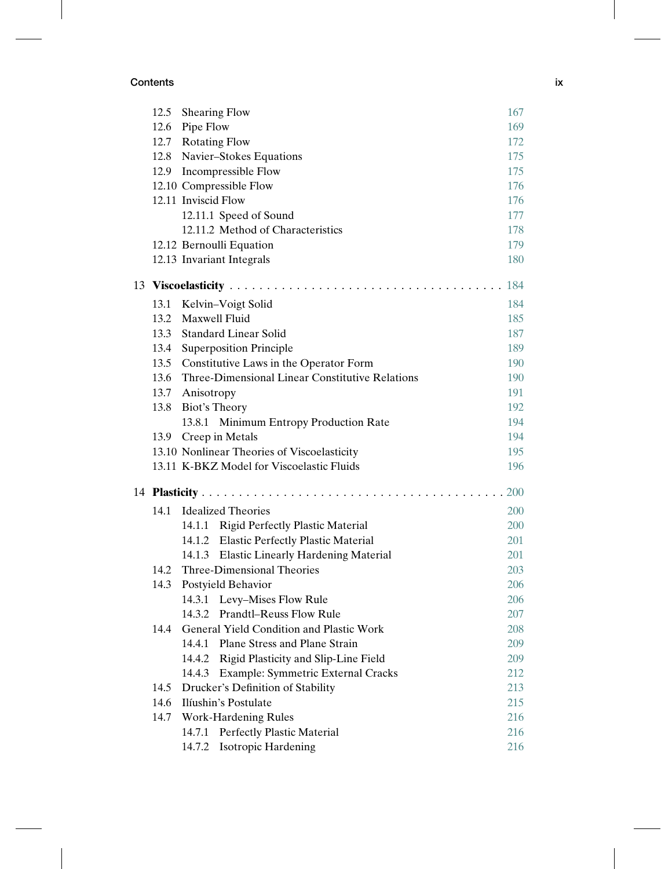|  |      | 12.5 Shearing Flow                                   | 167 |  |  |
|--|------|------------------------------------------------------|-----|--|--|
|  |      | 12.6 Pipe Flow                                       | 169 |  |  |
|  |      | 12.7 Rotating Flow                                   |     |  |  |
|  |      | 12.8 Navier-Stokes Equations                         | 175 |  |  |
|  |      | 12.9 Incompressible Flow                             | 175 |  |  |
|  |      | 12.10 Compressible Flow                              | 176 |  |  |
|  |      | 12.11 Inviscid Flow                                  | 176 |  |  |
|  |      | 12.11.1 Speed of Sound                               | 177 |  |  |
|  |      | 12.11.2 Method of Characteristics                    | 178 |  |  |
|  |      | 12.12 Bernoulli Equation                             | 179 |  |  |
|  |      | 12.13 Invariant Integrals                            | 180 |  |  |
|  |      |                                                      | 184 |  |  |
|  | 13.1 | Kelvin-Voigt Solid                                   | 184 |  |  |
|  | 13.2 | <b>Maxwell Fluid</b>                                 | 185 |  |  |
|  | 13.3 | <b>Standard Linear Solid</b>                         | 187 |  |  |
|  | 13.4 | <b>Superposition Principle</b>                       | 189 |  |  |
|  |      | 13.5 Constitutive Laws in the Operator Form          | 190 |  |  |
|  |      | 13.6 Three-Dimensional Linear Constitutive Relations | 190 |  |  |
|  |      | 13.7 Anisotropy                                      | 191 |  |  |
|  |      | 13.8 Biot's Theory                                   | 192 |  |  |
|  |      | 13.8.1 Minimum Entropy Production Rate               | 194 |  |  |
|  | 13.9 | Creep in Metals                                      | 194 |  |  |
|  |      | 13.10 Nonlinear Theories of Viscoelasticity<br>195   |     |  |  |
|  |      | 13.11 K-BKZ Model for Viscoelastic Fluids            |     |  |  |
|  | 200  |                                                      |     |  |  |
|  | 14.1 | <b>Idealized Theories</b>                            | 200 |  |  |
|  |      | 14.1.1 Rigid Perfectly Plastic Material              | 200 |  |  |
|  |      | 14.1.2 Elastic Perfectly Plastic Material            | 201 |  |  |
|  |      | 14.1.3 Elastic Linearly Hardening Material           | 201 |  |  |
|  |      | 14.2 Three-Dimensional Theories                      | 203 |  |  |
|  |      | 14.3 Postyield Behavior                              | 206 |  |  |
|  |      | 14.3.1 Levy-Mises Flow Rule                          | 206 |  |  |
|  |      | <b>Prandtl-Reuss Flow Rule</b><br>14.3.2             | 207 |  |  |
|  | 14.4 | General Yield Condition and Plastic Work             | 208 |  |  |
|  |      | Plane Stress and Plane Strain<br>14.4.1              | 209 |  |  |
|  |      | 14.4.2<br>Rigid Plasticity and Slip-Line Field       | 209 |  |  |
|  |      | Example: Symmetric External Cracks<br>14.4.3         | 212 |  |  |
|  | 14.5 | Drucker's Definition of Stability                    | 213 |  |  |
|  | 14.6 | Ilíushin's Postulate                                 | 215 |  |  |
|  | 14.7 | <b>Work-Hardening Rules</b>                          | 216 |  |  |
|  |      | 14.7.1<br><b>Perfectly Plastic Material</b>          | 216 |  |  |
|  |      | 14.7.2<br><b>Isotropic Hardening</b>                 | 216 |  |  |